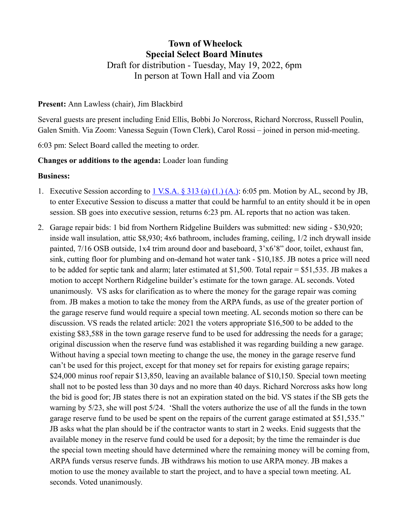# **Town of Wheelock Special Select Board Minutes** Draft for distribution - Tuesday, May 19, 2022, 6pm In person at Town Hall and via Zoom

### **Present:** Ann Lawless (chair), Jim Blackbird

Several guests are present including Enid Ellis, Bobbi Jo Norcross, Richard Norcross, Russell Poulin, Galen Smith. Via Zoom: Vanessa Seguin (Town Clerk), Carol Rossi – joined in person mid-meeting.

6:03 pm: Select Board called the meeting to order.

## **Changes or additions to the agenda:** Loader loan funding

### **Business:**

- 1. Executive Session according to [1 V.S.A. § 313 \(a\) \(1.\) \(A.\):](https://legislature.vermont.gov/statutes/section/01/005/00313) 6:05 pm. Motion by AL, second by JB, to enter Executive Session to discuss a matter that could be harmful to an entity should it be in open session. SB goes into executive session, returns 6:23 pm. AL reports that no action was taken.
- 2. Garage repair bids: 1 bid from Northern Ridgeline Builders was submitted: new siding \$30,920; inside wall insulation, attic \$8,930; 4x6 bathroom, includes framing, ceiling, 1/2 inch drywall inside painted, 7/16 OSB outside, 1x4 trim around door and baseboard, 3'x6'8" door, toilet, exhaust fan, sink, cutting floor for plumbing and on-demand hot water tank - \$10,185. JB notes a price will need to be added for septic tank and alarm; later estimated at \$1,500. Total repair = \$51,535. JB makes a motion to accept Northern Ridgeline builder's estimate for the town garage. AL seconds. Voted unanimously. VS asks for clarification as to where the money for the garage repair was coming from. JB makes a motion to take the money from the ARPA funds, as use of the greater portion of the garage reserve fund would require a special town meeting. AL seconds motion so there can be discussion. VS reads the related article: 2021 the voters appropriate \$16,500 to be added to the existing \$83,588 in the town garage reserve fund to be used for addressing the needs for a garage; original discussion when the reserve fund was established it was regarding building a new garage. Without having a special town meeting to change the use, the money in the garage reserve fund can't be used for this project, except for that money set for repairs for existing garage repairs; \$24,000 minus roof repair \$13,850, leaving an available balance of \$10,150. Special town meeting shall not to be posted less than 30 days and no more than 40 days. Richard Norcross asks how long the bid is good for; JB states there is not an expiration stated on the bid. VS states if the SB gets the warning by 5/23, she will post 5/24. 'Shall the voters authorize the use of all the funds in the town garage reserve fund to be used be spent on the repairs of the current garage estimated at \$51,535." JB asks what the plan should be if the contractor wants to start in 2 weeks. Enid suggests that the available money in the reserve fund could be used for a deposit; by the time the remainder is due the special town meeting should have determined where the remaining money will be coming from, ARPA funds versus reserve funds. JB withdraws his motion to use ARPA money. JB makes a motion to use the money available to start the project, and to have a special town meeting. AL seconds. Voted unanimously.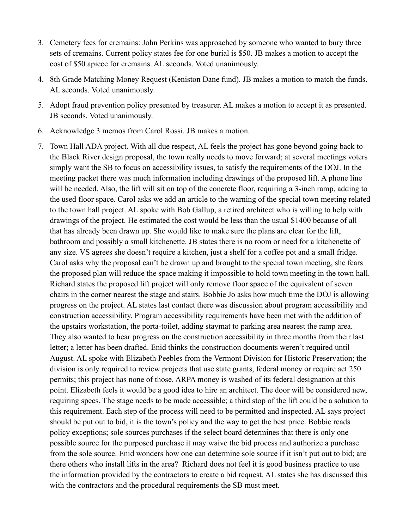- 3. Cemetery fees for cremains: John Perkins was approached by someone who wanted to bury three sets of cremains. Current policy states fee for one burial is \$50. JB makes a motion to accept the cost of \$50 apiece for cremains. AL seconds. Voted unanimously.
- 4. 8th Grade Matching Money Request (Keniston Dane fund). JB makes a motion to match the funds. AL seconds. Voted unanimously.
- 5. Adopt fraud prevention policy presented by treasurer. AL makes a motion to accept it as presented. JB seconds. Voted unanimously.
- 6. Acknowledge 3 memos from Carol Rossi. JB makes a motion.
- 7. Town Hall ADA project. With all due respect, AL feels the project has gone beyond going back to the Black River design proposal, the town really needs to move forward; at several meetings voters simply want the SB to focus on accessibility issues, to satisfy the requirements of the DOJ. In the meeting packet there was much information including drawings of the proposed lift. A phone line will be needed. Also, the lift will sit on top of the concrete floor, requiring a 3-inch ramp, adding to the used floor space. Carol asks we add an article to the warning of the special town meeting related to the town hall project. AL spoke with Bob Gallup, a retired architect who is willing to help with drawings of the project. He estimated the cost would be less than the usual \$1400 because of all that has already been drawn up. She would like to make sure the plans are clear for the lift, bathroom and possibly a small kitchenette. JB states there is no room or need for a kitchenette of any size. VS agrees she doesn't require a kitchen, just a shelf for a coffee pot and a small fridge. Carol asks why the proposal can't be drawn up and brought to the special town meeting, she fears the proposed plan will reduce the space making it impossible to hold town meeting in the town hall. Richard states the proposed lift project will only remove floor space of the equivalent of seven chairs in the corner nearest the stage and stairs. Bobbie Jo asks how much time the DOJ is allowing progress on the project. AL states last contact there was discussion about program accessibility and construction accessibility. Program accessibility requirements have been met with the addition of the upstairs workstation, the porta-toilet, adding staymat to parking area nearest the ramp area. They also wanted to hear progress on the construction accessibility in three months from their last letter; a letter has been drafted. Enid thinks the construction documents weren't required until August. AL spoke with Elizabeth Peebles from the Vermont Division for Historic Preservation; the division is only required to review projects that use state grants, federal money or require act 250 permits; this project has none of those. ARPA money is washed of its federal designation at this point. Elizabeth feels it would be a good idea to hire an architect. The door will be considered new, requiring specs. The stage needs to be made accessible; a third stop of the lift could be a solution to this requirement. Each step of the process will need to be permitted and inspected. AL says project should be put out to bid, it is the town's policy and the way to get the best price. Bobbie reads policy exceptions; sole sources purchases if the select board determines that there is only one possible source for the purposed purchase it may waive the bid process and authorize a purchase from the sole source. Enid wonders how one can determine sole source if it isn't put out to bid; are there others who install lifts in the area? Richard does not feel it is good business practice to use the information provided by the contractors to create a bid request. AL states she has discussed this with the contractors and the procedural requirements the SB must meet.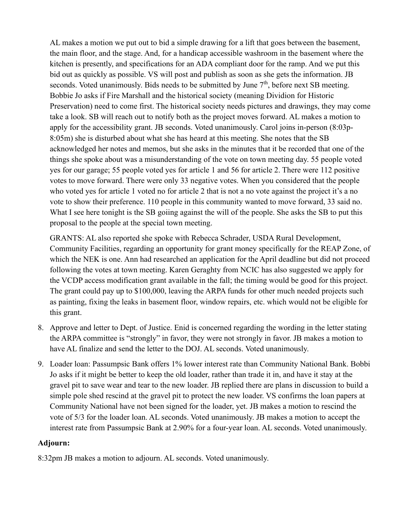AL makes a motion we put out to bid a simple drawing for a lift that goes between the basement, the main floor, and the stage. And, for a handicap accessible washroom in the basement where the kitchen is presently, and specifications for an ADA compliant door for the ramp. And we put this bid out as quickly as possible. VS will post and publish as soon as she gets the information. JB seconds. Voted unanimously. Bids needs to be submitted by June  $7<sup>th</sup>$ , before next SB meeting. Bobbie Jo asks if Fire Marshall and the historical society (meaning Dividion for Historic Preservation) need to come first. The historical society needs pictures and drawings, they may come take a look. SB will reach out to notify both as the project moves forward. AL makes a motion to apply for the accessibility grant. JB seconds. Voted unanimously. Carol joins in-person (8:03p-8:05m) she is disturbed about what she has heard at this meeting. She notes that the SB acknowledged her notes and memos, but she asks in the minutes that it be recorded that one of the things she spoke about was a misunderstanding of the vote on town meeting day. 55 people voted yes for our garage; 55 people voted yes for article 1 and 56 for article 2. There were 112 positive votes to move forward. There were only 33 negative votes. When you considered that the people who voted yes for article 1 voted no for article 2 that is not a no vote against the project it's a no vote to show their preference. 110 people in this community wanted to move forward, 33 said no. What I see here tonight is the SB goiing against the will of the people. She asks the SB to put this proposal to the people at the special town meeting.

GRANTS: AL also reported she spoke with Rebecca Schrader, USDA Rural Development, Community Facilities, regarding an opportunity for grant money specifically for the REAP Zone, of which the NEK is one. Ann had researched an application for the April deadline but did not proceed following the votes at town meeting. Karen Geraghty from NCIC has also suggested we apply for the VCDP access modification grant available in the fall; the timing would be good for this project. The grant could pay up to \$100,000, leaving the ARPA funds for other much needed projects such as painting, fixing the leaks in basement floor, window repairs, etc. which would not be eligible for this grant.

- 8. Approve and letter to Dept. of Justice. Enid is concerned regarding the wording in the letter stating the ARPA committee is "strongly" in favor, they were not strongly in favor. JB makes a motion to have AL finalize and send the letter to the DOJ. AL seconds. Voted unanimously.
- 9. Loader loan: Passumpsic Bank offers 1% lower interest rate than Community National Bank. Bobbi Jo asks if it might be better to keep the old loader, rather than trade it in, and have it stay at the gravel pit to save wear and tear to the new loader. JB replied there are plans in discussion to build a simple pole shed rescind at the gravel pit to protect the new loader. VS confirms the loan papers at Community National have not been signed for the loader, yet. JB makes a motion to rescind the vote of 5/3 for the loader loan. AL seconds. Voted unanimously. JB makes a motion to accept the interest rate from Passumpsic Bank at 2.90% for a four-year loan. AL seconds. Voted unanimously.

## **Adjourn:**

8:32pm JB makes a motion to adjourn. AL seconds. Voted unanimously.